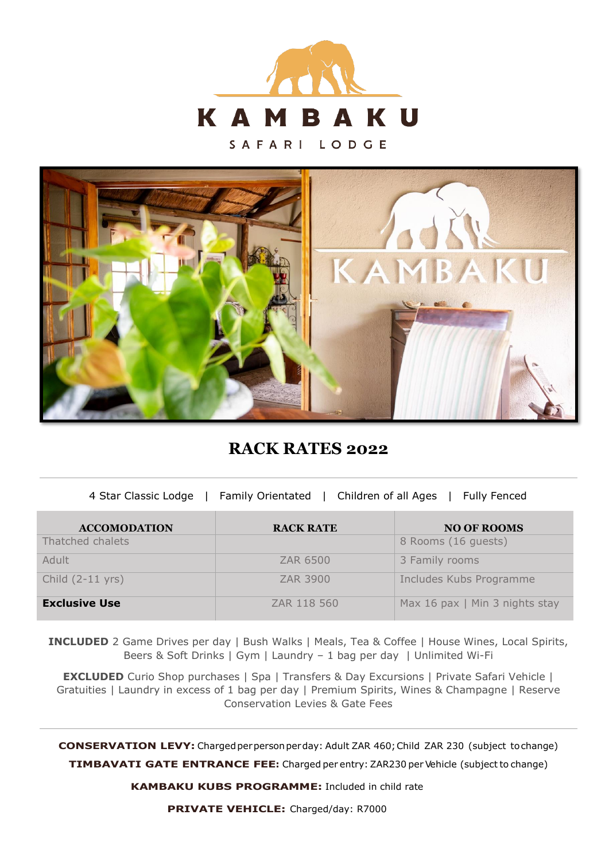

SAFARI LODGE



**RACK RATES 2022**

4 Star Classic Lodge | Family Orientated | Children of all Ages | Fully Fenced

| <b>ACCOMODATION</b>        | <b>RACK RATE</b> | <b>NO OF ROOMS</b>             |
|----------------------------|------------------|--------------------------------|
| Thatched chalets           |                  | 8 Rooms (16 guests)            |
| Adult                      | ZAR 6500         | 3 Family rooms                 |
| Child $(2-11 \text{ yrs})$ | <b>ZAR 3900</b>  | Includes Kubs Programme        |
| <b>Exclusive Use</b>       | ZAR 118 560      | Max 16 pax   Min 3 nights stay |

**INCLUDED** 2 Game Drives per day | Bush Walks | Meals, Tea & Coffee | House Wines, Local Spirits, Beers & Soft Drinks | Gym | Laundry – 1 bag per day | Unlimited Wi-Fi

**EXCLUDED** Curio Shop purchases | Spa | Transfers & Day Excursions | Private Safari Vehicle | Gratuities | Laundry in excess of 1 bag per day | Premium Spirits, Wines & Champagne | Reserve Conservation Levies & Gate Fees

**CONSERVATION LEVY:** Charged per person per day: Adult ZAR 460; Child ZAR 230 (subject to change)

**TIMBAVATI GATE ENTRANCE FEE:** Charged per entry: ZAR230 per Vehicle (subject to change)

**KAMBAKU KUBS PROGRAMME:** Included in child rate

**PRIVATE VEHICLE:** Charged/day: R7000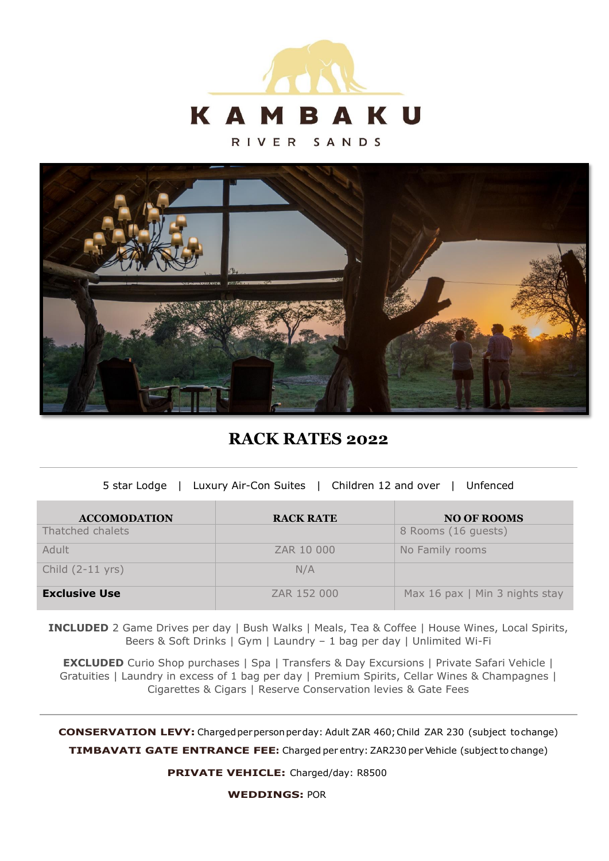

RIVER SANDS



**RACK RATES 2022**

| 5 star Lodge   Luxury Air-Con Suites   Children 12 and over   Unfenced |  |
|------------------------------------------------------------------------|--|

| <b>ACCOMODATION</b>        | <b>RACK RATE</b> | <b>NO OF ROOMS</b>             |
|----------------------------|------------------|--------------------------------|
| Thatched chalets           |                  | 8 Rooms (16 guests)            |
| Adult                      | ZAR 10 000       | No Family rooms                |
| Child $(2-11 \text{ yrs})$ | N/A              |                                |
| <b>Exclusive Use</b>       | ZAR 152 000      | Max 16 pax   Min 3 nights stay |

**INCLUDED** 2 Game Drives per day | Bush Walks | Meals, Tea & Coffee | House Wines, Local Spirits, Beers & Soft Drinks | Gym | Laundry – 1 bag per day | Unlimited Wi-Fi

**EXCLUDED** Curio Shop purchases | Spa | Transfers & Day Excursions | Private Safari Vehicle | Gratuities | Laundry in excess of 1 bag per day | Premium Spirits, Cellar Wines & Champagnes | Cigarettes & Cigars | Reserve Conservation levies & Gate Fees

**CONSERVATION LEVY:** Charged per person perday: Adult ZAR 460; Child ZAR 230 (subject to change)

**TIMBAVATI GATE ENTRANCE FEE:** Charged per entry: ZAR230 per Vehicle (subject to change)

**PRIVATE VEHICLE:** Charged/day: R8500

**WEDDINGS:** POR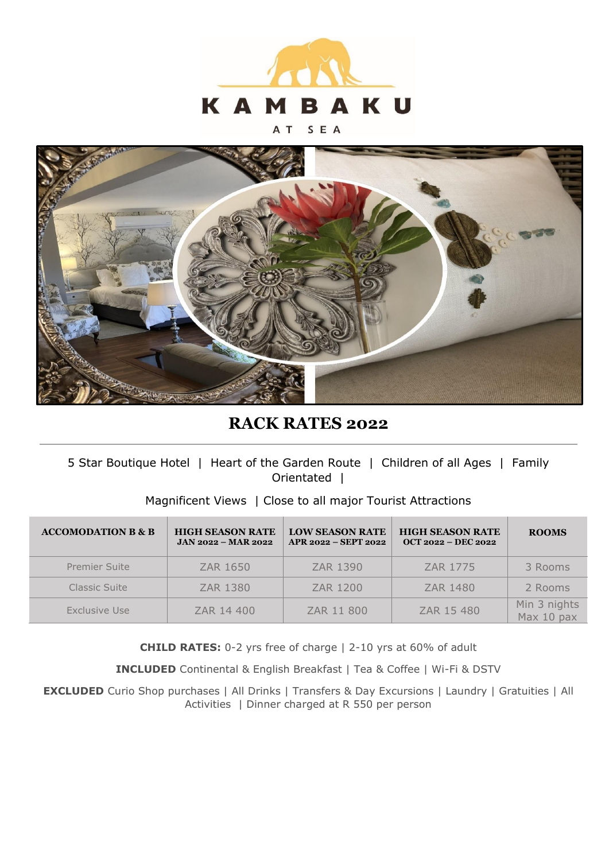

#### SEA A T



# **RACK RATES 2022**

### 5 Star Boutique Hotel | Heart of the Garden Route | Children of all Ages | Family Orientated |

### Magnificent Views | Close to all major Tourist Attractions

| <b>ACCOMODATION B &amp; B</b> | <b>HIGH SEASON RATE</b><br>$JAN 2022 - MAR 2022$ | <b>LOW SEASON RATE</b><br>APR 2022 - SEPT 2022 | <b>HIGH SEASON RATE</b><br>$OCT 2022 - DEC 2022$ | <b>ROOMS</b>               |
|-------------------------------|--------------------------------------------------|------------------------------------------------|--------------------------------------------------|----------------------------|
| <b>Premier Suite</b>          | ZAR 1650                                         | ZAR 1390                                       | ZAR 1775                                         | 3 Rooms                    |
| Classic Suite                 | ZAR 1380                                         | ZAR 1200                                       | ZAR 1480                                         | 2 Rooms                    |
| Exclusive Use                 | ZAR 14 400                                       | ZAR 11 800                                     | ZAR 15 480                                       | Min 3 nights<br>Max 10 pax |

**CHILD RATES:** 0-2 yrs free of charge | 2-10 yrs at 60% of adult

**INCLUDED** Continental & English Breakfast | Tea & Coffee | Wi-Fi & DSTV

**EXCLUDED** Curio Shop purchases | All Drinks | Transfers & Day Excursions | Laundry | Gratuities | All Activities | Dinner charged at R 550 per person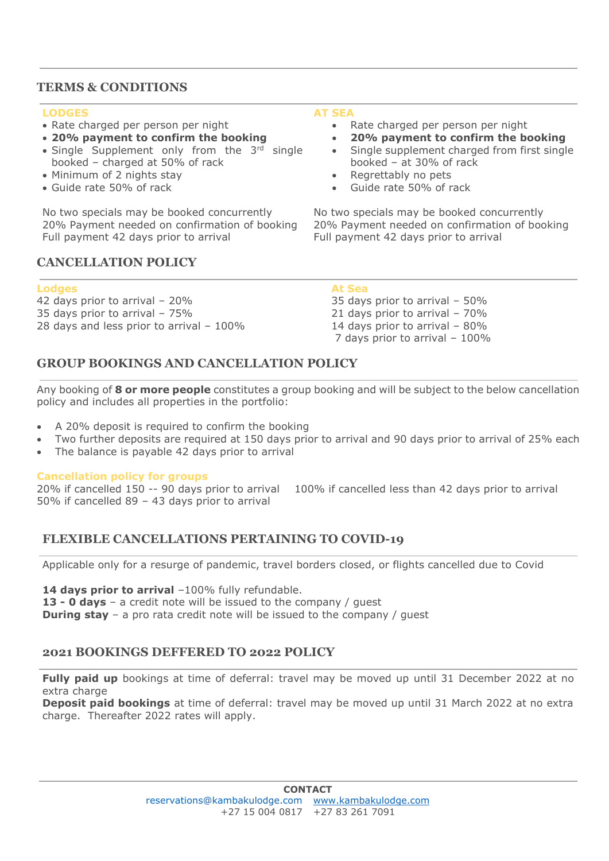### **TERMS & CONDITIONS**

#### **LODGES**

- Rate charged per person per night
- **20% payment to confirm the booking**
- Single Supplement only from the 3<sup>rd</sup> single booked – charged at 50% of rack
- Minimum of 2 nights stay
- Guide rate 50% of rack

No two specials may be booked concurrently 20% Payment needed on confirmation of booking Full payment 42 days prior to arrival

### **CANCELLATION POLICY**

#### **Lodges At Sea**

42 days prior to arrival – 20% 35 days prior to arrival – 50% 35 days prior to arrival – 75% 21 days prior to arrival – 70% 28 days and less prior to arrival – 100% 14 days prior to arrival – 80%

#### **AT SEA**

- Rate charged per person per night
- **20% payment to confirm the booking**
- Single supplement charged from first single booked – at 30% of rack
- Regrettably no pets
- Guide rate 50% of rack

No two specials may be booked concurrently 20% Payment needed on confirmation of booking Full payment 42 days prior to arrival

7 days prior to arrival – 100%

### **GROUP BOOKINGS AND CANCELLATION POLICY**

Any booking of **8 or more people** constitutes a group booking and will be subject to the below cancellation policy and includes all properties in the portfolio:

- A 20% deposit is required to confirm the booking
- Two further deposits are required at 150 days prior to arrival and 90 days prior to arrival of 25% each
- The balance is payable 42 days prior to arrival

### **Cancellation policy for groups**

20% if cancelled 150 -- 90 days prior to arrival 100% if cancelled less than 42 days prior to arrival 50% if cancelled 89 – 43 days prior to arrival

### **FLEXIBLE CANCELLATIONS PERTAINING TO COVID-19**

Applicable only for a resurge of pandemic, travel borders closed, or flights cancelled due to Covid

14 days prior to arrival -100% fully refundable.

**13 - 0 days** – a credit note will be issued to the company / guest

**During stay** – a pro rata credit note will be issued to the company / quest

## **2021 BOOKINGS DEFFERED TO 2022 POLICY**

**Fully paid up** bookings at time of deferral: travel may be moved up until 31 December 2022 at no extra charge

**Deposit paid bookings** at time of deferral: travel may be moved up until 31 March 2022 at no extra charge. Thereafter 2022 rates will apply.